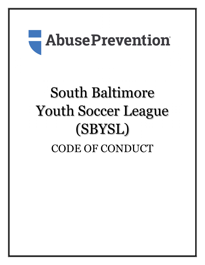# **E** AbusePrevention®

# South Baltimore Youth Soccer League (SBYSL) CODE OF CONDUCT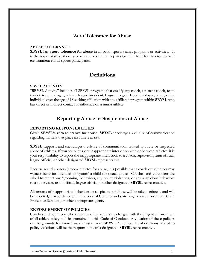# Zero Tolerance for Abuse

#### ABUSE TOLERANCE

SBYSL has a zero tolerance for abuse in all youth sports teams, programs or activities. It is the responsibility of every coach and volunteer to participate in the effort to create a safe environment for all sports participants.

# **Definitions**

#### SBYSL ACTIVITY

"SBYSL Activity" includes all SBYSL programs that qualify any coach, assistant coach, team trainer, team manager, referee, league president, league delegate, labor employee, or any other individual over the age of 18 seeking affiliation with any affiliated program within **SBYSL** who has direct or indirect contact or influence on a minor athlete.

### Reporting Abuse or Suspicions of Abuse

#### REPORTING RESPONSIBILITIES

Given SBYSL's zero tolerance for abuse, SBYSL encourages a culture of communication regarding matters that place an athlete at risk.

SBYSL supports and encourages a culture of communication related to abuse or suspected abuse of athletes. If you see or suspect inappropriate interaction with or between athletes, it is your responsibility to report the inappropriate interaction to a coach, supervisor, team official, league official, or other designated SBYSL representative.

Because sexual abusers 'groom' athletes for abuse, it is possible that a coach or volunteer may witness behavior intended to 'groom' a child for sexual abuse. Coaches and volunteers are asked to report any 'grooming' behaviors, any policy violations, or any suspicious behaviors to a supervisor, team official, league official, or other designated SBYSL representative.

All reports of inappropriate behaviors or suspicions of abuse will be taken seriously and will be reported, in accordance with this Code of Conduct and state law, to law enforcement, Child Protective Services, or other appropriate agency.

#### ENFORCEMENT OF POLICIES

Coaches and volunteers who supervise other leaders are charged with the diligent enforcement of all athlete safety policies contained in this Code of Conduct. A violation of these policies can be grounds for immediate dismissal from SBYSL Activities. Final decisions related to policy violations will be the responsibility of a designated SBYSL representative.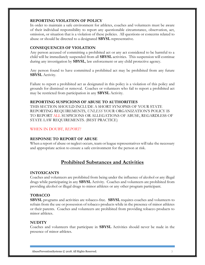#### REPORTING VIOLATION OF POLICY

In order to maintain a safe environment for athletes, coaches and volunteers must be aware of their individual responsibility to report any questionable circumstance, observation, act, omission, or situation that is a violation of these policies. All questions or concerns related to abuse or should be directed to a designated SBYSL representative.

#### CONSEQUENCES OF VIOLATION

Any person accused of committing a prohibited act or any act considered to be harmful to a child will be immediately suspended from all SBYSL activities. This suspension will continue during any investigation by **SBYSL**, law enforcement or any child protective agency.

Any person found to have committed a prohibited act may be prohibited from any future SBYSL Activity.

Failure to report a prohibited act as designated in this policy is a violation of this policy and grounds for dismissal or removal. Coaches or volunteers who fail to report a prohibited act may be restricted from participation in any SBYSL Activity.

#### REPORTING SUSPICIONS OF ABUSE TO AUTHORITIES

THIS SECTION SHOULD INCLUDE A SHORT SYNOPSIS OF YOUR STATE REPORTING REQUIREMENTS, UNLESS YOUR ORGANIZATION'S POLICY IS TO REPORT ALL SUSPICIONS OR ALLEGATIONS OF ABUSE, REGARDLESS OF STATE LAW REQUIREMENTS. (BEST PRACTICE)

#### WHEN IN DOUBT, REPORT!

#### RESPONSE TO REPORT OF ABUSE

When a report of abuse or neglect occurs, team or league representatives will take the necessary and appropriate action to ensure a safe environment for the person at risk.

# Prohibited Substances and Activities

#### INTOXICANTS

Coaches and volunteers are prohibited from being under the influence of alcohol or any illegal drugs while participating in any SBYSL Activity. Coaches and volunteers are prohibited from providing alcohol or illegal drugs to minor athletes or any other program participant.

#### TOBACCO

SBYSL programs and activities are tobacco-free. SBYSL requires coaches and volunteers to refrain from the use or possession of tobacco products while in the presence of minor athletes or their parents. Coaches and volunteers are prohibited from providing tobacco products to minor athletes.

#### **NUDITY**

Coaches and volunteers that participate in SBYSL Activities should never be nude in the presence of minor athletes.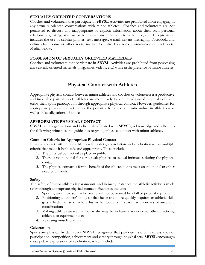#### SEXUALLY ORIENTED CONVERSATIONS

Coaches and volunteers that participate in SBYSL Activities are prohibited from engaging in any sexually oriented conversations with minor athletes. Coaches and volunteers are not permitted to discuss any inappropriate or explicit information about their own personal relationships, dating, or sexual activities with any minor athlete in the program. This provision includes the use of cellular phones, text messages, e-mail, instant messaging, Facebook, and online chat rooms or other social media. See also Electronic Communication and Social Media, below.

#### POSSESSION OF SEXUALLY ORIENTED MATERIALS

Coaches and volunteers that participate in SBYSL Activities are prohibited from possessing any sexually oriented materials (magazines, videos, etc.) while in the presence of minor athletes.

# Physical Contact with Athletes

Appropriate physical contact between minor athletes and coaches or volunteers is a productive and inevitable part of sport. Athletes are more likely to acquire advanced physical skills and enjoy their sport participation through appropriate physical contact. However, guidelines for appropriate physical contact reduce the potential for abuse and misconduct in athletics – as well as false allegations of abuse.

#### APPROPRIATE PHYSICAL CONTACT

SBYSL, and organizations and individuals affiliated with SBYSL, acknowledge and adhere to the following principles and guidelines regarding physical contact with minor athletes.

#### Common Criteria for Appropriate Physical Contact

Physical contact with minor athletes – for safety, consolation and celebration – has multiple criteria that make it both safe and appropriate. These include:

- 1. The physical contact takes place in public;
- 2. There is no potential for (or actual) physical or sexual intimacies during the physical contact;
- 3. The physical contact is for the benefit of the athlete, not to meet an emotional or other need of an adult.

#### **Safety**

The safety of minor athletes is paramount, and in many instances the athletic activity is made safer through appropriate physical contact. Examples include:

- 1. Spotting an athlete so that he or she will not be injured by a fall or piece of equipment;
- 2. Positioning an athlete's body so that he or she more quickly acquires an athletic skill, gets a better sense of where his or her body is in space, or improves balance and coordination;
- 3. Making athletes aware that he or she may be in harm's way due to other practicing athletes, or equipment use;
- 4. Releasing muscle cramps.

#### **Celebration**

Sports are physical by definition. **SBYSL** recognizes that participants often express a joy of participation, competition, achievement and victory through physical acts. SBYSL encourages these public expressions of celebration, which include: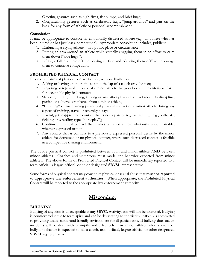- 1. Greeting gestures such as high-fives, fist bumps, and brief hugs;
- 2. Congratulatory gestures such as celebratory hugs, "jump-arounds" and pats on the back for any form of athletic or personal accomplishment.

#### Consolation

It may be appropriate to console an emotionally distressed athlete (e.g., an athlete who has been injured or has just lost a competition). Appropriate consolation includes, publicly:

- 1. Embracing a crying athlete in a public place or circumstance;
- 2. Putting an arm around an athlete while verbally engaging them in an effort to calm them down ("side hugs");
- 3. Lifting a fallen athlete off the playing surface and "dusting them off" to encourage them to continue competition.

#### PROHIBITED PHYSICAL CONTACT

Prohibited forms of physical contact include, without limitation:

- 1. Asking or having a minor athlete sit in the lap of a coach or volunteer;
- 2. Lingering or repeated embrace of a minor athlete that goes beyond the criteria set forth for acceptable physical contact;
- 3. Slapping, hitting, punching, kicking or any other physical contact meant to discipline, punish or achieve compliance from a minor athlete;
- 4. "Cuddling" or maintaining prolonged physical contact of a minor athlete during any aspect of training, travel or overnight stay;
- 5. Playful, yet inappropriate contact that is not a part of regular training, (e.g., butt-pats, tickling or wrestling-type "horseplay");
- 6. Continued physical contact that makes a minor athlete obviously uncomfortable, whether expressed or not;
- 7. Any contact that is contrary to a previously expressed personal desire by the minor athlete for decreased or no physical contact, where such decreased contact is feasible in a competitive training environment.

The above physical contact is prohibited between adult and minor athlete AND between minor athletes. Coaches and volunteers must model the behavior expected from minor athletes. The above forms of Prohibited Physical Contact will be immediately reported to a team official, a league official, or other designated SBYSL representative.

Some forms of physical contact may constitute physical or sexual abuse that **must be reported** to appropriate law enforcement authorities. When appropriate, the Prohibited Physical Contact will be reported to the appropriate law enforcement authority.

## Misconduct

#### BULLYING

Bullying of any kind is unacceptable at any **SBYSL** Activity, and will not be tolerated. Bullying is counterproductive to team spirit and can be devastating to the victim. SBYSL is committed to providing a safe, caring and friendly environment for all participants. If bullying does occur, incidents will be dealt with promptly and effectively. Any minor athlete who is aware of bullying behavior is expected to tell a coach, team official, league official, or other designated SBYSL representative.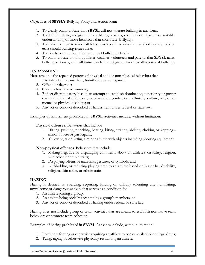Objectives of SBYSL's Bullying Policy and Action Plan:

- 1. To clearly communicate that SBYSL will not tolerate bullying in any form.
- 2. To define bullying and give minor athletes, coaches, volunteers and parents a suitable understanding of those behaviors that constitute 'bullying'.
- 3. To make it known to minor athletes, coaches and volunteers that a policy and protocol exist should bullying issues arise.
- 4. To clearly communicate how to report bullying behavior.
- 5. To communicate to minor athletes, coaches, volunteers and parents that SBYSL takes bullying seriously, and will immediately investigate and address all reports of bullying.

#### HARASSMENT

Harassment is the repeated pattern of physical and/or non-physical behaviors that

- 1. Are intended to cause fear, humiliation or annoyance;
- 2. Offend or degrade;
- 3. Create a hostile environment;
- 4. Reflect discriminatory bias in an attempt to establish dominance, superiority or power over an individual athlete or group based on gender, race, ethnicity, culture, religion or mental or physical disability; or
- 5. Any act or conduct described as harassment under federal or state law.

Examples of harassment prohibited in SBYSL Activities include, without limitation:

#### Physical offenses. Behaviors that include

- 1. Hitting, pushing, punching, beating, biting, striking, kicking, choking or slapping a minor athlete or participant;
- 2. Throwing at or hitting a minor athlete with objects including sporting equipment.

#### Non-physical offenses. Behaviors that include

- 1. Making negative or disparaging comments about an athlete's disability, religion, skin color, or ethnic traits;
- 2. Displaying offensive materials, gestures, or symbols; and
- 3. Withholding or reducing playing time to an athlete based on his or her disability, religion, skin color, or ethnic traits.

#### HAZING

Hazing is defined as coercing, requiring, forcing or willfully tolerating any humiliating, unwelcome or dangerous activity that serves as a condition for

- 1. An athlete joining a group;
- 2. An athlete being socially accepted by a group's members; or
- 3. Any act or conduct described as hazing under federal or state law.

Hazing does not include group or team activities that are meant to establish normative team behaviors or promote team cohesion.

Examples of hazing prohibited in SBYSL Activities include, without limitation:

- 1. Requiring, forcing or otherwise requiring an athlete to consume alcohol or illegal drugs;
- 2. Tying, taping or otherwise physically restraining an athlete;

AbusePreventionSystems © 2018. All Rights Reserved.  $\qquad \qquad 6$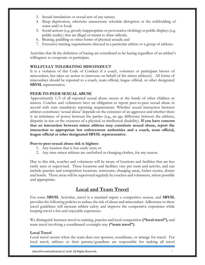- 3. Sexual simulations or sexual acts of any nature;
- 4. Sleep deprivation, otherwise unnecessary schedule disruption or the withholding of water and/or food;
- 5. Social actions (e.g. grossly inappropriate or provocative clothing) or public displays (e.g. public nudity) that are illegal or meant to draw ridicule;
- 6. Beating, paddling or other forms of physical assault; and
- 7. Excessive training requirements directed at a particular athlete or a group of athletes.

Activities that fit the definition of hazing are considered to be hazing regardless of an athlete's willingness to cooperate or participate.

#### WILLFULLY TOLERATING MISCONDUCT

It is a violation of this Code of Conduct if a coach, volunteer or participant knows of misconduct, but takes no action to intervene on behalf of the minor athlete(s). All forms of misconduct should be reported to a coach, team official, league official, or other designated SBYSL representative.

#### PEER-TO-PEER SEXUAL ABUSE

Approximately 1/3 of all reported sexual abuse occurs at the hands of other children or minors. Coaches and volunteers have an obligation to report peer-to-peer sexual abuse in accord with state mandatory reporting requirements. Whether sexual interaction between athletes constitutes 'sexual abuse' depends on the existence of an aggressor and whether there is an imbalance of power between the parties (e.g., an age difference between the athletes, disparity in size or the existence of a physical or intellectual disability). If you have concern that an interaction between minor athletes may constitute sexual abuse, report the interaction to appropriate law enforcement authorities and a coach, team official, league official or other designated SBYSL representative.

#### Peer-to peer sexual abuse risk is highest:

- 1. Any location that is less easily seen; or
- 2. Any time minor athletes are unclothed or changing clothes, for any reason.

Due to this risk, coaches and volunteers will be aware of locations and facilities that are less easily seen or supervised. These locations and facilities vary per team and activity, and can include practice and competition locations, restrooms, changing areas, locker rooms, dorms and hotels. These areas will be supervised regularly by coaches and volunteers, where possible and appropriate.

# Local and Team Travel

For some **SBYSL** Activities, travel is a standard aspect a competitive season, and **SBYSL** provides the following policies to reduce the risk of abuse and misconduct. Adherence to these travel guidelines will increase athlete safety and improve the competitive experience while keeping travel a fun and enjoyable experience.

We distinguish between travel to training, practice and local competition ("local travel"), and team travel involving a coordinated overnight stay ("team travel").

#### Local Travel

Local travel occurs when the team does not sponsor, coordinate, or arrange for travel. For local travel, athletes or their parents/guardians are responsible for making all travel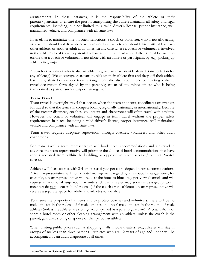arrangements. In these instances, it is the responsibility of the athlete or their parents/guardians to ensure the person transporting the athlete maintains all safety and legal requirements, including, but not limited to, a valid driver's license, proper insurance, well maintained vehicle, and compliance with all state laws.

In an effort to minimize one-on-one interactions, a coach or volunteer, who is not also acting as a parent, should not drive alone with an unrelated athlete and should drive with at least two other athletes or another adult at all times. In any case where a coach or volunteer is involved in the athlete's local travel, a parental release is required in advance. Efforts must be made to ensure that a coach or volunteer is not alone with an athlete or participant, by, e.g., picking up athletes in groups.

A coach or volunteer who is also an athlete's guardian may provide shared transportation for any athlete(s). We encourage guardians to pick up their athlete first and drop off their athlete last in any shared or carpool travel arrangement. We also recommend completing a shared travel declaration form signed by the parent/guardian of any minor athlete who is being transported as part of such a carpool arrangement.

#### Team Travel

Team travel is overnight travel that occurs when the team sponsors, coordinates or arranges for travel so that the team can compete locally, regionally, nationally or internationally. Because of the greater distances, coaches, volunteers and chaperones will often travel with athletes. However, no coach or volunteer will engage in team travel without the proper safety requirements in place, including a valid driver's license, proper insurance, well-maintained vehicle and compliance with all state laws.

Team travel requires adequate supervision through coaches, volunteers and other adult chaperones.

For team travel, a team representative will book hotel accommodations and air travel in advance; the team representative will prioritize the choice of hotel accommodations that have rooms accessed from within the building, as opposed to street access ('hotel' vs. 'motel' access).

Athletes will share rooms, with 2-4 athletes assigned per room depending on accommodations. A team representative will notify hotel management regarding any special arrangements; for example, a team representative will request the hotel to block pay-per-view channels and will request an additional large room or suite such that athletes may socialize as a group. Team meetings do not occur in hotel rooms (of the coach or an athlete); a team representative will reserve a separate space for adults and athletes to socialize.

To ensure the propriety of athletes and to protect coaches and volunteers, there will be no male athletes in the rooms of female athletes, and no female athletes in the rooms of male athletes (unless the athletes are siblings accompanied by a parent/guardian). A coach shall not share a hotel room or other sleeping arrangement with an athlete, unless the coach is the parent, guardian, sibling or spouse of that particular athlete.

When visiting public places such as shopping malls, movie theaters, etc., athletes will stay in groups of no less than three persons. Athletes who are 12 years of age and under will be accompanied by an adult chaperone at all times.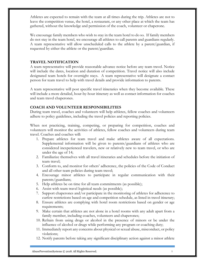Athletes are expected to remain with the team at all times during the trip. Athletes are not to leave the competition venue, the hotel, a restaurant, or any other place at which the team has gathered, without the knowledge and permission of the coach, volunteer or chaperone.

We encourage family members who wish to stay in the team hotel to do so. If family members do not stay in the team hotel, we encourage all athletes to call parents and guardians regularly. A team representative will allow unscheduled calls to the athlete by a parent/guardian, if requested by either the athlete or the parent/guardian.

#### TRAVEL NOTIFICATION

A team representative will provide reasonable advance notice before any team travel. Notice will include the dates, location and duration of competition. Travel notice will also include designated team hotels for overnight stays. A team representative will designate a contact person for team travel to help with travel details and provide information to parents.

A team representative will post specific travel itineraries when they become available. These will include a more detailed, hour-by-hour itinerary as well as contact information for coaches and team travel chaperones.

#### COACH AND VOLUNTEER RESPONSIBILITIES

During team travel, coaches and volunteers will help athletes, fellow coaches and volunteers adhere to policy guidelines, including the travel policies and reporting policies.

When not practicing, training, competing, or preparing for competition, coaches and volunteers will monitor the activities of athletes, fellow coaches and volunteers during team travel. Coaches and coaches will:

- 1. Prepare athletes for team travel and make athletes aware of all expectations. Supplemental information will be given to parents/guardians of athletes who are considered inexperienced travelers, new or relatively new to team travel, or who are under the age of 14;
- 2. Familiarize themselves with all travel itineraries and schedules before the initiation of team travel;
- 3. Conform to, and monitor for others' adherence, the policies of the Code of Conduct and all other team policies during team travel;
- 4. Encourage minor athletes to participate in regular communication with their parents/guardians;
- 5. Help athletes be on time for all team commitments (as possible);
- 6. Assist with team travel logistical needs (as possible);
- 7. Support chaperones and/or participate in the monitoring of athletes for adherence to curfew restrictions based on age and competition schedule, as listed in travel itinerary;
- 8. Ensure athletes are complying with hotel room restrictions based on gender or age requirements;
- 9. Make certain that athletes are not alone in a hotel rooms with any adult apart from a family member, including coaches, volunteers and chaperones;
- 10. Refrain from using drugs or alcohol in the presence of minors or be under the influence of alcohol or drugs while performing any program or coaching duty;
- 11. Immediately report any concerns about physical or sexual abuse, misconduct, or policy violations;
- 12. Notify parents before taking any significant disciplinary action against a minor athlete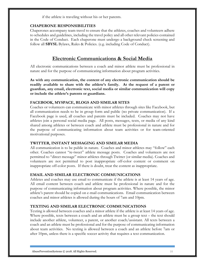if the athlete is traveling without his or her parents.

#### CHAPERONE RESPONSIBILITIES

Chaperones accompany team travel to ensure that the athletes, coaches and volunteers adhere to schedules and guidelines, including the travel policy and all other relevant policies contained in the Code of Conduct. Each chaperone must undergo a background check screening and follow all SBYSL Bylaws, Rules & Policies. (e.g. including Code of Conduct).

# Electronic Communications & Social Media

All electronic communications between a coach and minor athlete must be professional in nature and for the purpose of communicating information about program activities.

As with any communication, the content of any electronic communication should be readily available to share with the athlete's family. At the request of a parent or guardian, any email, electronic text, social media or similar communication will copy or include the athlete's parents or guardians.

#### FACEBOOK, MYSPACE, BLOGS AND SIMILAR SITES

Coaches or volunteers can communicate with minor athletes through sites like Facebook, but all communication needs to be in group form and public (no private communication). If a Facebook page is used, all coaches and parents must be included. Coaches may not have athletes join a personal social media page. All posts, messages, texts, or media of any kind shared among athletes or between coach and athlete must be professional in nature and for the purpose of communicating information about team activities or for team-oriented motivational purposes.

#### TWITTER, INSTANT MESSAGING AND SIMILAR MEDIA

All communication is to be public in nature. Coaches and minor athletes may "follow" each other. Coaches cannot "re-tweet" athlete message posts. Coaches and volunteers are not permitted to "direct message" minor athletes through Twitter (or similar media). Coaches and volunteers are not permitted to post inappropriate off-color content or comment on inappropriate off-color posts. If there is doubt, treat the content as inappropriate.

#### EMAIL AND SIMILAR ELECTRONIC COMMUNICATIONS

Athletes and coaches may use email to communicate if the athlete is at least 14 years of age. All email content between coach and athlete must be professional in nature and for the purpose of communicating information about program activities. Where possible, the minor athlete's parent should be copied on e-mail communications. Email communication between coaches and minor athletes is allowed during the hours of 7am and 10pm.

#### TEXTING AND SIMILAR ELECTRONIC COMMUNICATIONS

Texting is allowed between coaches and a minor athlete if the athlete is at least 14 years of age. Where possible, texts between a coach and an athlete must be a group text – the text should include another athlete, volunteer, a parent, or another coach/assistant. All texts between a coach and an athlete must be professional and for the purpose of communicating information about team activities. No texting is allowed between a coach and an athlete before 7am or after 10pm, unless there is a specific soccer activity that requires a text communication.